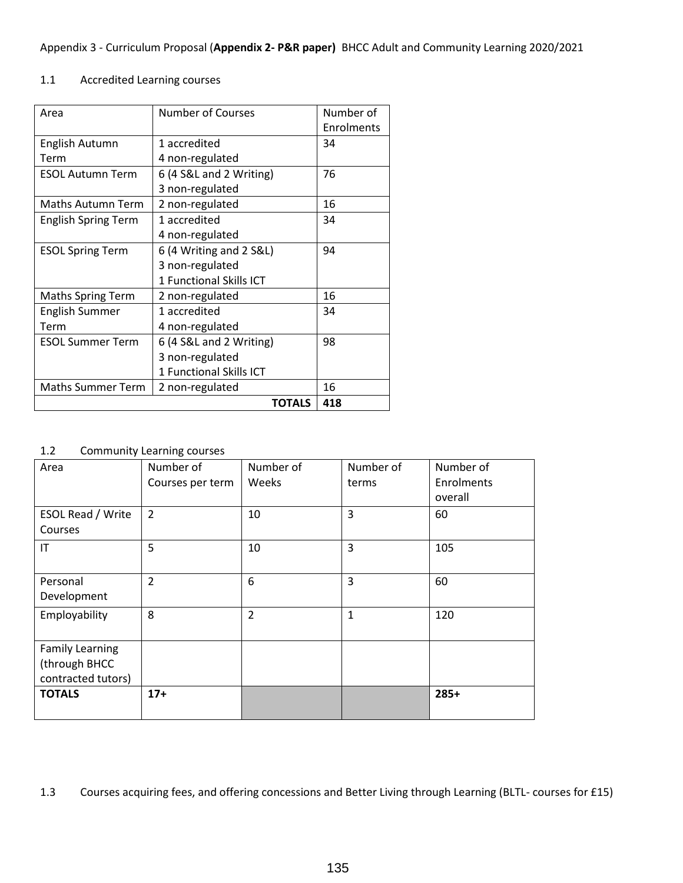## Appendix 3 - Curriculum Proposal (**Appendix 2- P&R paper)** BHCC Adult and Community Learning 2020/2021

## 1.1 Accredited Learning courses

| Area                       | <b>Number of Courses</b> | Number of  |
|----------------------------|--------------------------|------------|
|                            |                          | Enrolments |
| English Autumn             | 1 accredited             | 34         |
| Term                       | 4 non-regulated          |            |
| <b>ESOL Autumn Term</b>    | 6 (4 S&L and 2 Writing)  | 76         |
|                            | 3 non-regulated          |            |
| Maths Autumn Term          | 2 non-regulated          |            |
| <b>English Spring Term</b> | 1 accredited             | 34         |
|                            | 4 non-regulated          |            |
| <b>ESOL Spring Term</b>    | 6 (4 Writing and 2 S&L)  | 94         |
|                            | 3 non-regulated          |            |
|                            | 1 Functional Skills ICT  |            |
| <b>Maths Spring Term</b>   | 2 non-regulated          | 16         |
| <b>English Summer</b>      | 1 accredited             | 34         |
| Term                       | 4 non-regulated          |            |
| <b>ESOL Summer Term</b>    | 6 (4 S&L and 2 Writing)  | 98         |
|                            | 3 non-regulated          |            |
|                            | 1 Functional Skills ICT  |            |
| <b>Maths Summer Term</b>   | 2 non-regulated          | 16         |
|                            | <b>TOTALS</b>            | 418        |

1.2 Community Learning courses

| Area                     | Number of        | Number of      | Number of | Number of  |
|--------------------------|------------------|----------------|-----------|------------|
|                          | Courses per term | Weeks          | terms     | Enrolments |
|                          |                  |                |           | overall    |
| <b>ESOL Read / Write</b> | $\overline{2}$   | 10             | 3         | 60         |
| Courses                  |                  |                |           |            |
| IT                       | 5                | 10             | 3         | 105        |
|                          |                  |                |           |            |
| Personal                 | $\overline{2}$   | 6              | 3         | 60         |
| Development              |                  |                |           |            |
| Employability            | 8                | $\overline{2}$ | 1         | 120        |
|                          |                  |                |           |            |
| <b>Family Learning</b>   |                  |                |           |            |
| (through BHCC            |                  |                |           |            |
| contracted tutors)       |                  |                |           |            |
| <b>TOTALS</b>            | $17+$            |                |           | $285+$     |
|                          |                  |                |           |            |

1.3 Courses acquiring fees, and offering concessions and Better Living through Learning (BLTL- courses for £15)